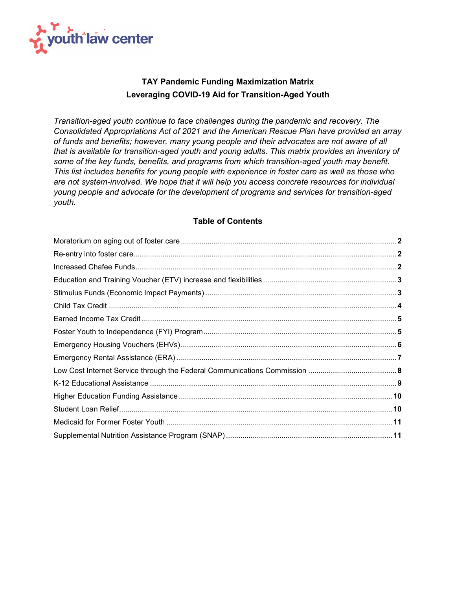

## **TAY Pandemic Funding Maximization Matrix Leveraging COVID-19 Aid for Transition-Aged Youth**

*Transition-aged youth continue to face challenges during the pandemic and recovery. The Consolidated Appropriations Act of 2021 and the American Rescue Plan have provided an array of funds and benefits; however, many young people and their advocates are not aware of all that is available for transition-aged youth and young adults. This matrix provides an inventory of some of the key funds, benefits, and programs from which transition-aged youth may benefit. This list includes benefits for young people with experience in foster care as well as those who are not system-involved. We hope that it will help you access concrete resources for individual young people and advocate for the development of programs and services for transition-aged youth.*

## **Table of Contents**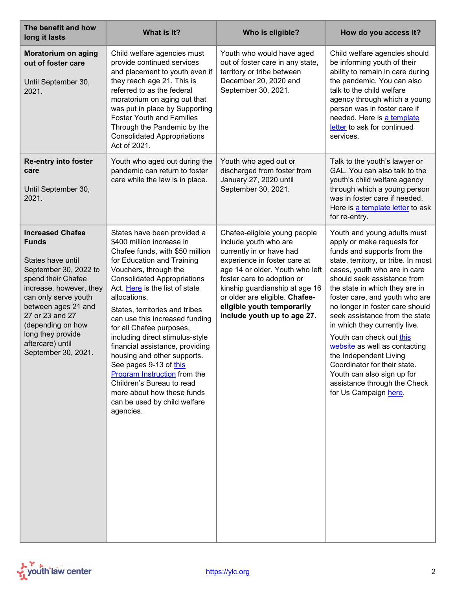<span id="page-1-2"></span><span id="page-1-1"></span><span id="page-1-0"></span>

| The benefit and how<br>long it lasts                                                                                                                                                                                                                                                          | What is it?                                                                                                                                                                                                                                                                                                                                                                                                                                                                                                                                                                                                       | Who is eligible?                                                                                                                                                                                                                                                                                                    | How do you access it?                                                                                                                                                                                                                                                                                                                                                                                                                                                                                                                                                                  |
|-----------------------------------------------------------------------------------------------------------------------------------------------------------------------------------------------------------------------------------------------------------------------------------------------|-------------------------------------------------------------------------------------------------------------------------------------------------------------------------------------------------------------------------------------------------------------------------------------------------------------------------------------------------------------------------------------------------------------------------------------------------------------------------------------------------------------------------------------------------------------------------------------------------------------------|---------------------------------------------------------------------------------------------------------------------------------------------------------------------------------------------------------------------------------------------------------------------------------------------------------------------|----------------------------------------------------------------------------------------------------------------------------------------------------------------------------------------------------------------------------------------------------------------------------------------------------------------------------------------------------------------------------------------------------------------------------------------------------------------------------------------------------------------------------------------------------------------------------------------|
| Moratorium on aging<br>out of foster care<br>Until September 30,<br>2021.                                                                                                                                                                                                                     | Child welfare agencies must<br>provide continued services<br>and placement to youth even if<br>they reach age 21. This is<br>referred to as the federal<br>moratorium on aging out that<br>was put in place by Supporting<br><b>Foster Youth and Families</b><br>Through the Pandemic by the<br><b>Consolidated Appropriations</b><br>Act of 2021.                                                                                                                                                                                                                                                                | Youth who would have aged<br>out of foster care in any state,<br>territory or tribe between<br>December 20, 2020 and<br>September 30, 2021.                                                                                                                                                                         | Child welfare agencies should<br>be informing youth of their<br>ability to remain in care during<br>the pandemic. You can also<br>talk to the child welfare<br>agency through which a young<br>person was in foster care if<br>needed. Here is a template<br>letter to ask for continued<br>services.                                                                                                                                                                                                                                                                                  |
| <b>Re-entry into foster</b><br>care<br>Until September 30,<br>2021.                                                                                                                                                                                                                           | Youth who aged out during the<br>pandemic can return to foster<br>care while the law is in place.                                                                                                                                                                                                                                                                                                                                                                                                                                                                                                                 | Youth who aged out or<br>discharged from foster from<br>January 27, 2020 until<br>September 30, 2021.                                                                                                                                                                                                               | Talk to the youth's lawyer or<br>GAL. You can also talk to the<br>youth's child welfare agency<br>through which a young person<br>was in foster care if needed.<br>Here is a template letter to ask<br>for re-entry.                                                                                                                                                                                                                                                                                                                                                                   |
| <b>Increased Chafee</b><br><b>Funds</b><br>States have until<br>September 30, 2022 to<br>spend their Chafee<br>increase, however, they<br>can only serve youth<br>between ages 21 and<br>27 or 23 and 27<br>(depending on how<br>long they provide<br>aftercare) until<br>September 30, 2021. | States have been provided a<br>\$400 million increase in<br>Chafee funds, with \$50 million<br>for Education and Training<br>Vouchers, through the<br><b>Consolidated Appropriations</b><br>Act. Here is the list of state<br>allocations.<br>States, territories and tribes<br>can use this increased funding<br>for all Chafee purposes,<br>including direct stimulus-style<br>financial assistance, providing<br>housing and other supports.<br>See pages 9-13 of this<br>Program Instruction from the<br>Children's Bureau to read<br>more about how these funds<br>can be used by child welfare<br>agencies. | Chafee-eligible young people<br>include youth who are<br>currently in or have had<br>experience in foster care at<br>age 14 or older. Youth who left<br>foster care to adoption or<br>kinship guardianship at age 16<br>or older are eligible. Chafee-<br>eligible youth temporarily<br>include youth up to age 27. | Youth and young adults must<br>apply or make requests for<br>funds and supports from the<br>state, territory, or tribe. In most<br>cases, youth who are in care<br>should seek assistance from<br>the state in which they are in<br>foster care, and youth who are<br>no longer in foster care should<br>seek assistance from the state<br>in which they currently live.<br>Youth can check out this<br>website as well as contacting<br>the Independent Living<br>Coordinator for their state.<br>Youth can also sign up for<br>assistance through the Check<br>for Us Campaign here. |

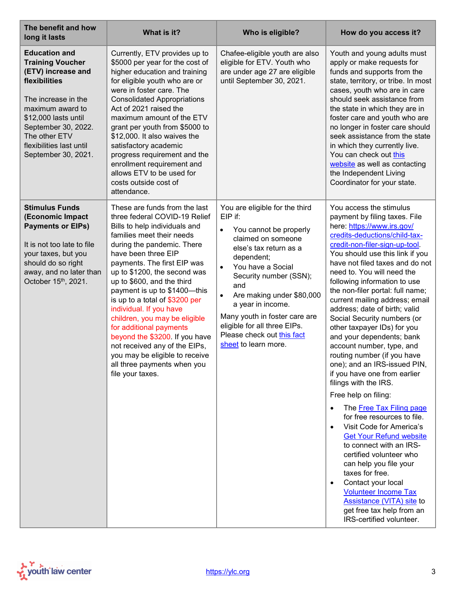<span id="page-2-1"></span><span id="page-2-0"></span>

| The benefit and how<br>long it lasts                                                                                                                                                                                                                 | What is it?                                                                                                                                                                                                                                                                                                                                                                                                                                                                                                                                                                                     | Who is eligible?                                                                                                                                                                                                                                                                                                                                                                                        | How do you access it?                                                                                                                                                                                                                                                                                                                                                                                                                                                                                                                                                                                                                                                                                                                                                                                                                                                                                                                                                                                                                                    |
|------------------------------------------------------------------------------------------------------------------------------------------------------------------------------------------------------------------------------------------------------|-------------------------------------------------------------------------------------------------------------------------------------------------------------------------------------------------------------------------------------------------------------------------------------------------------------------------------------------------------------------------------------------------------------------------------------------------------------------------------------------------------------------------------------------------------------------------------------------------|---------------------------------------------------------------------------------------------------------------------------------------------------------------------------------------------------------------------------------------------------------------------------------------------------------------------------------------------------------------------------------------------------------|----------------------------------------------------------------------------------------------------------------------------------------------------------------------------------------------------------------------------------------------------------------------------------------------------------------------------------------------------------------------------------------------------------------------------------------------------------------------------------------------------------------------------------------------------------------------------------------------------------------------------------------------------------------------------------------------------------------------------------------------------------------------------------------------------------------------------------------------------------------------------------------------------------------------------------------------------------------------------------------------------------------------------------------------------------|
| <b>Education and</b><br><b>Training Voucher</b><br>(ETV) increase and<br>flexibilities<br>The increase in the<br>maximum award to<br>\$12,000 lasts until<br>September 30, 2022.<br>The other ETV<br>flexibilities last until<br>September 30, 2021. | Currently, ETV provides up to<br>\$5000 per year for the cost of<br>higher education and training<br>for eligible youth who are or<br>were in foster care. The<br><b>Consolidated Appropriations</b><br>Act of 2021 raised the<br>maximum amount of the ETV<br>grant per youth from \$5000 to<br>\$12,000. It also waives the<br>satisfactory academic<br>progress requirement and the<br>enrollment requirement and<br>allows ETV to be used for<br>costs outside cost of<br>attendance.                                                                                                       | Chafee-eligible youth are also<br>eligible for ETV. Youth who<br>are under age 27 are eligible<br>until September 30, 2021.                                                                                                                                                                                                                                                                             | Youth and young adults must<br>apply or make requests for<br>funds and supports from the<br>state, territory, or tribe. In most<br>cases, youth who are in care<br>should seek assistance from<br>the state in which they are in<br>foster care and youth who are<br>no longer in foster care should<br>seek assistance from the state<br>in which they currently live.<br>You can check out this<br>website as well as contacting<br>the Independent Living<br>Coordinator for your state.                                                                                                                                                                                                                                                                                                                                                                                                                                                                                                                                                              |
| <b>Stimulus Funds</b><br>(Economic Impact<br><b>Payments or EIPs)</b><br>It is not too late to file<br>your taxes, but you<br>should do so right<br>away, and no later than<br>October 15th, 2021.                                                   | These are funds from the last<br>three federal COVID-19 Relief<br>Bills to help individuals and<br>families meet their needs<br>during the pandemic. There<br>have been three EIP<br>payments. The first EIP was<br>up to \$1200, the second was<br>up to \$600, and the third<br>payment is up to \$1400-this<br>is up to a total of \$3200 per<br>individual. If you have<br>children, you may be eligible<br>for additional payments<br>beyond the \$3200. If you have<br>not received any of the EIPs,<br>you may be eligible to receive<br>all three payments when you<br>file your taxes. | You are eligible for the third<br>EIP if:<br>You cannot be properly<br>$\bullet$<br>claimed on someone<br>else's tax return as a<br>dependent;<br>You have a Social<br>$\bullet$<br>Security number (SSN);<br>and<br>Are making under \$80,000<br>$\bullet$<br>a year in income.<br>Many youth in foster care are<br>eligible for all three EIPs.<br>Please check out this fact<br>sheet to learn more. | You access the stimulus<br>payment by filing taxes. File<br>here: https://www.irs.gov/<br>credits-deductions/child-tax-<br>credit-non-filer-sign-up-tool.<br>You should use this link if you<br>have not filed taxes and do not<br>need to. You will need the<br>following information to use<br>the non-filer portal: full name;<br>current mailing address; email<br>address; date of birth; valid<br>Social Security numbers (or<br>other taxpayer IDs) for you<br>and your dependents; bank<br>account number, type, and<br>routing number (if you have<br>one); and an IRS-issued PIN,<br>if you have one from earlier<br>filings with the IRS.<br>Free help on filing:<br>The Free Tax Filing page<br>for free resources to file.<br>Visit Code for America's<br><b>Get Your Refund website</b><br>to connect with an IRS-<br>certified volunteer who<br>can help you file your<br>taxes for free.<br>Contact your local<br>٠<br><b>Volunteer Income Tax</b><br>Assistance (VITA) site to<br>get free tax help from an<br>IRS-certified volunteer. |

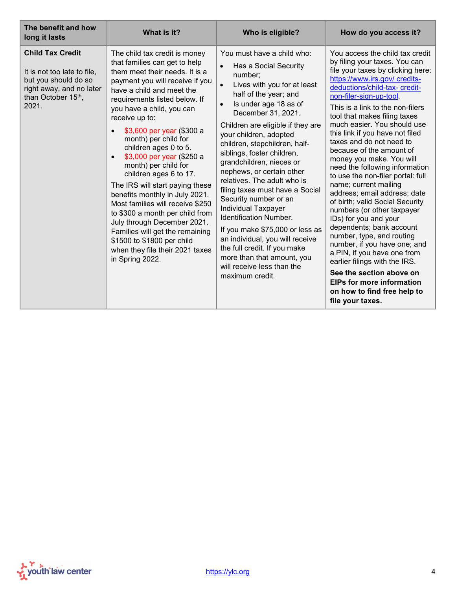<span id="page-3-0"></span>

| The benefit and how<br>long it lasts                                                                                                      | What is it?                                                                                                                                                                                                                                                                                                                                                                                                                                                                                                                                                                                                                                                                                                                               | Who is eligible?                                                                                                                                                                                                                                                                                                                                                                                                                                                                                                                                                                                                                                                                                                                                   | How do you access it?                                                                                                                                                                                                                                                                                                                                                                                                                                                                                                                                                                                                                                                                                                                                                                                                                                                                                                              |
|-------------------------------------------------------------------------------------------------------------------------------------------|-------------------------------------------------------------------------------------------------------------------------------------------------------------------------------------------------------------------------------------------------------------------------------------------------------------------------------------------------------------------------------------------------------------------------------------------------------------------------------------------------------------------------------------------------------------------------------------------------------------------------------------------------------------------------------------------------------------------------------------------|----------------------------------------------------------------------------------------------------------------------------------------------------------------------------------------------------------------------------------------------------------------------------------------------------------------------------------------------------------------------------------------------------------------------------------------------------------------------------------------------------------------------------------------------------------------------------------------------------------------------------------------------------------------------------------------------------------------------------------------------------|------------------------------------------------------------------------------------------------------------------------------------------------------------------------------------------------------------------------------------------------------------------------------------------------------------------------------------------------------------------------------------------------------------------------------------------------------------------------------------------------------------------------------------------------------------------------------------------------------------------------------------------------------------------------------------------------------------------------------------------------------------------------------------------------------------------------------------------------------------------------------------------------------------------------------------|
| <b>Child Tax Credit</b><br>It is not too late to file,<br>but you should do so<br>right away, and no later<br>than October 15th,<br>2021. | The child tax credit is money<br>that families can get to help<br>them meet their needs. It is a<br>payment you will receive if you<br>have a child and meet the<br>requirements listed below. If<br>you have a child, you can<br>receive up to:<br>\$3,600 per year (\$300 a<br>$\bullet$<br>month) per child for<br>children ages 0 to 5.<br>\$3,000 per year (\$250 a<br>$\bullet$<br>month) per child for<br>children ages 6 to 17.<br>The IRS will start paying these<br>benefits monthly in July 2021.<br>Most families will receive \$250<br>to \$300 a month per child from<br>July through December 2021.<br>Families will get the remaining<br>\$1500 to \$1800 per child<br>when they file their 2021 taxes<br>in Spring 2022. | You must have a child who:<br>Has a Social Security<br>$\bullet$<br>number;<br>$\bullet$<br>Lives with you for at least<br>half of the year; and<br>Is under age 18 as of<br>$\bullet$<br>December 31, 2021.<br>Children are eligible if they are<br>your children, adopted<br>children, stepchildren, half-<br>siblings, foster children,<br>grandchildren, nieces or<br>nephews, or certain other<br>relatives. The adult who is<br>filing taxes must have a Social<br>Security number or an<br><b>Individual Taxpayer</b><br><b>Identification Number.</b><br>If you make \$75,000 or less as<br>an individual, you will receive<br>the full credit. If you make<br>more than that amount, you<br>will receive less than the<br>maximum credit. | You access the child tax credit<br>by filing your taxes. You can<br>file your taxes by clicking here:<br>https://www.irs.gov/ credits-<br>deductions/child-tax- credit-<br>non-filer-sign-up-tool.<br>This is a link to the non-filers<br>tool that makes filing taxes<br>much easier. You should use<br>this link if you have not filed<br>taxes and do not need to<br>because of the amount of<br>money you make. You will<br>need the following information<br>to use the non-filer portal: full<br>name; current mailing<br>address; email address; date<br>of birth; valid Social Security<br>numbers (or other taxpayer<br>IDs) for you and your<br>dependents; bank account<br>number, type, and routing<br>number, if you have one; and<br>a PIN, if you have one from<br>earlier filings with the IRS.<br>See the section above on<br><b>EIPs for more information</b><br>on how to find free help to<br>file your taxes. |

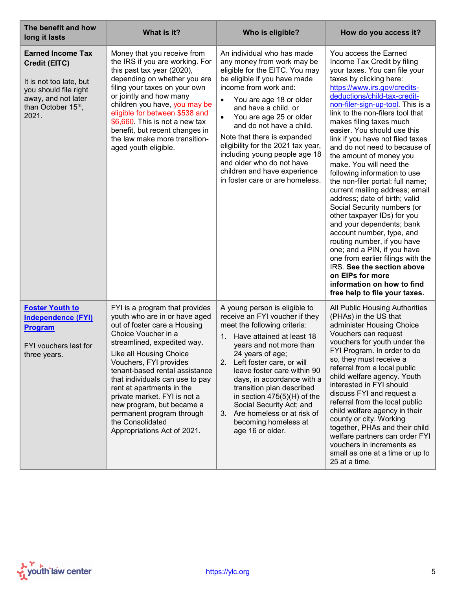<span id="page-4-0"></span>

| The benefit and how<br>long it lasts                                                                                                                | What is it?                                                                                                                                                                                                                                                                                                                                                                                                                                               | Who is eligible?                                                                                                                                                                                                                                                                                                                                                                                                                                                                              | How do you access it?                                                                                                                                                                                                                                                                                                                                                                                                                                                                                                                                                                                                                                                                                                                                                                                                                                                                                                             |
|-----------------------------------------------------------------------------------------------------------------------------------------------------|-----------------------------------------------------------------------------------------------------------------------------------------------------------------------------------------------------------------------------------------------------------------------------------------------------------------------------------------------------------------------------------------------------------------------------------------------------------|-----------------------------------------------------------------------------------------------------------------------------------------------------------------------------------------------------------------------------------------------------------------------------------------------------------------------------------------------------------------------------------------------------------------------------------------------------------------------------------------------|-----------------------------------------------------------------------------------------------------------------------------------------------------------------------------------------------------------------------------------------------------------------------------------------------------------------------------------------------------------------------------------------------------------------------------------------------------------------------------------------------------------------------------------------------------------------------------------------------------------------------------------------------------------------------------------------------------------------------------------------------------------------------------------------------------------------------------------------------------------------------------------------------------------------------------------|
| <b>Earned Income Tax</b><br>Credit (EITC)<br>It is not too late, but<br>you should file right<br>away, and not later<br>than October 15th,<br>2021. | Money that you receive from<br>the IRS if you are working. For<br>this past tax year (2020),<br>depending on whether you are<br>filing your taxes on your own<br>or jointly and how many<br>children you have, you may be<br>eligible for between \$538 and<br>\$6,660. This is not a new tax<br>benefit, but recent changes in<br>the law make more transition-<br>aged youth eligible.                                                                  | An individual who has made<br>any money from work may be<br>eligible for the EITC. You may<br>be eligible if you have made<br>income from work and:<br>You are age 18 or older<br>$\bullet$<br>and have a child, or<br>You are age 25 or older<br>$\bullet$<br>and do not have a child.<br>Note that there is expanded<br>eligibility for the 2021 tax year,<br>including young people age 18<br>and older who do not have<br>children and have experience<br>in foster care or are homeless. | You access the Earned<br>Income Tax Credit by filing<br>your taxes. You can file your<br>taxes by clicking here:<br>https://www.irs.gov/credits-<br>deductions/child-tax-credit-<br>non-filer-sign-up-tool. This is a<br>link to the non-filers tool that<br>makes filing taxes much<br>easier. You should use this<br>link if you have not filed taxes<br>and do not need to because of<br>the amount of money you<br>make. You will need the<br>following information to use<br>the non-filer portal: full name;<br>current mailing address; email<br>address; date of birth; valid<br>Social Security numbers (or<br>other taxpayer IDs) for you<br>and your dependents; bank<br>account number, type, and<br>routing number, if you have<br>one; and a PIN, if you have<br>one from earlier filings with the<br>IRS. See the section above<br>on EIPs for more<br>information on how to find<br>free help to file your taxes. |
| <b>Foster Youth to</b><br><b>Independence (FYI)</b><br><b>Program</b><br>FYI vouchers last for<br>three years.                                      | FYI is a program that provides<br>youth who are in or have aged<br>out of foster care a Housing<br>Choice Voucher in a<br>streamlined, expedited way.<br>Like all Housing Choice<br>Vouchers, FYI provides<br>tenant-based rental assistance<br>that individuals can use to pay<br>rent at apartments in the<br>private market. FYI is not a<br>new program, but became a<br>permanent program through<br>the Consolidated<br>Appropriations Act of 2021. | A young person is eligible to<br>receive an FYI voucher if they<br>meet the following criteria:<br>Have attained at least 18<br>$1_{-}$<br>years and not more than<br>24 years of age;<br>2. Left foster care, or will<br>leave foster care within 90<br>days, in accordance with a<br>transition plan described<br>in section $475(5)(H)$ of the<br>Social Security Act; and<br>Are homeless or at risk of<br>3.<br>becoming homeless at<br>age 16 or older.                                 | All Public Housing Authorities<br>(PHAs) in the US that<br>administer Housing Choice<br>Vouchers can request<br>vouchers for youth under the<br>FYI Program. In order to do<br>so, they must receive a<br>referral from a local public<br>child welfare agency. Youth<br>interested in FYI should<br>discuss FYI and request a<br>referral from the local public<br>child welfare agency in their<br>county or city. Working<br>together, PHAs and their child<br>welfare partners can order FYI<br>vouchers in increments as<br>small as one at a time or up to<br>25 at a time.                                                                                                                                                                                                                                                                                                                                                 |

<span id="page-4-1"></span>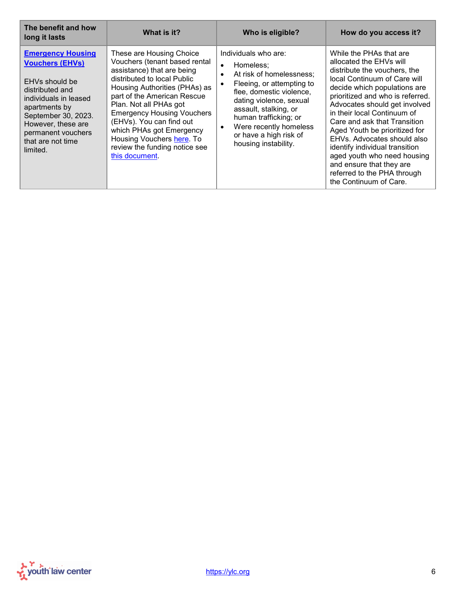<span id="page-5-0"></span>

| The benefit and how<br>long it lasts                                                                                                                                                                                                  | What is it?                                                                                                                                                                                                                                                                                                                                                                                   | Who is eligible?                                                                                                                                                                                                                                                                                                                    | How do you access it?                                                                                                                                                                                                                                                                                                                                                                                                                                                                                        |
|---------------------------------------------------------------------------------------------------------------------------------------------------------------------------------------------------------------------------------------|-----------------------------------------------------------------------------------------------------------------------------------------------------------------------------------------------------------------------------------------------------------------------------------------------------------------------------------------------------------------------------------------------|-------------------------------------------------------------------------------------------------------------------------------------------------------------------------------------------------------------------------------------------------------------------------------------------------------------------------------------|--------------------------------------------------------------------------------------------------------------------------------------------------------------------------------------------------------------------------------------------------------------------------------------------------------------------------------------------------------------------------------------------------------------------------------------------------------------------------------------------------------------|
| <b>Emergency Housing</b><br><b>Vouchers (EHVs)</b><br>EHVs should be<br>distributed and<br>individuals in leased<br>apartments by<br>September 30, 2023.<br>However, these are<br>permanent vouchers<br>that are not time<br>limited. | These are Housing Choice<br>Vouchers (tenant based rental<br>assistance) that are being<br>distributed to local Public<br>Housing Authorities (PHAs) as<br>part of the American Rescue<br>Plan. Not all PHAs got<br><b>Emergency Housing Vouchers</b><br>(EHVs). You can find out<br>which PHAs got Emergency<br>Housing Vouchers here. To<br>review the funding notice see<br>this document. | Individuals who are:<br>Homeless:<br>$\bullet$<br>At risk of homelessness:<br>$\bullet$<br>Fleeing, or attempting to<br>$\bullet$<br>flee, domestic violence,<br>dating violence, sexual<br>assault, stalking, or<br>human trafficking; or<br>Were recently homeless<br>$\bullet$<br>or have a high risk of<br>housing instability. | While the PHAs that are<br>allocated the EHVs will<br>distribute the vouchers, the<br>local Continuum of Care will<br>decide which populations are<br>prioritized and who is referred.<br>Advocates should get involved<br>in their local Continuum of<br>Care and ask that Transition<br>Aged Youth be prioritized for<br>EHVs. Advocates should also<br>identify individual transition<br>aged youth who need housing<br>and ensure that they are<br>referred to the PHA through<br>the Continuum of Care. |

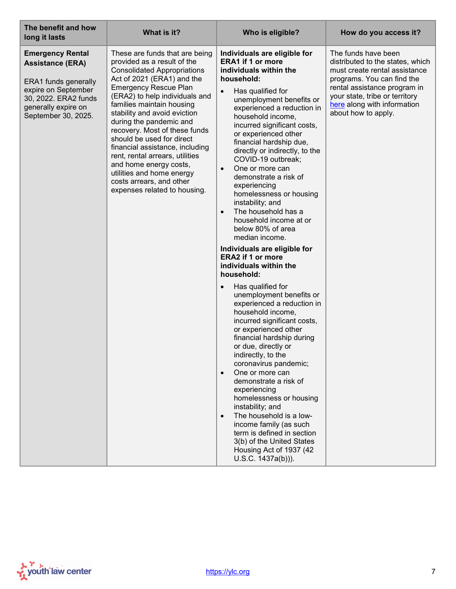<span id="page-6-0"></span>

| The benefit and how<br>long it lasts                                                                                                                                    | What is it?                                                                                                                                                                                                                                                                                                                                                                                                                                                                                                                                        | Who is eligible?                                                                                                                                                                                                                                                                                                                                                                                                                                                                                                                                                                         | How do you access it?                                                                                                                                                                                                                          |
|-------------------------------------------------------------------------------------------------------------------------------------------------------------------------|----------------------------------------------------------------------------------------------------------------------------------------------------------------------------------------------------------------------------------------------------------------------------------------------------------------------------------------------------------------------------------------------------------------------------------------------------------------------------------------------------------------------------------------------------|------------------------------------------------------------------------------------------------------------------------------------------------------------------------------------------------------------------------------------------------------------------------------------------------------------------------------------------------------------------------------------------------------------------------------------------------------------------------------------------------------------------------------------------------------------------------------------------|------------------------------------------------------------------------------------------------------------------------------------------------------------------------------------------------------------------------------------------------|
| <b>Emergency Rental</b><br><b>Assistance (ERA)</b><br>ERA1 funds generally<br>expire on September<br>30, 2022. ERA2 funds<br>generally expire on<br>September 30, 2025. | These are funds that are being<br>provided as a result of the<br><b>Consolidated Appropriations</b><br>Act of 2021 (ERA1) and the<br><b>Emergency Rescue Plan</b><br>(ERA2) to help individuals and<br>families maintain housing<br>stability and avoid eviction<br>during the pandemic and<br>recovery. Most of these funds<br>should be used for direct<br>financial assistance, including<br>rent, rental arrears, utilities<br>and home energy costs,<br>utilities and home energy<br>costs arrears, and other<br>expenses related to housing. | Individuals are eligible for<br><b>ERA1 if 1 or more</b><br>individuals within the<br>household:<br>Has qualified for<br>$\bullet$<br>unemployment benefits or<br>experienced a reduction in<br>household income,<br>incurred significant costs,<br>or experienced other<br>financial hardship due,<br>directly or indirectly, to the<br>COVID-19 outbreak;<br>One or more can<br>$\bullet$<br>demonstrate a risk of<br>experiencing<br>homelessness or housing<br>instability; and<br>The household has a<br>$\bullet$<br>household income at or<br>below 80% of area<br>median income. | The funds have been<br>distributed to the states, which<br>must create rental assistance<br>programs. You can find the<br>rental assistance program in<br>your state, tribe or territory<br>here along with information<br>about how to apply. |
|                                                                                                                                                                         |                                                                                                                                                                                                                                                                                                                                                                                                                                                                                                                                                    | Individuals are eligible for<br><b>ERA2 if 1 or more</b><br>individuals within the<br>household:                                                                                                                                                                                                                                                                                                                                                                                                                                                                                         |                                                                                                                                                                                                                                                |
|                                                                                                                                                                         |                                                                                                                                                                                                                                                                                                                                                                                                                                                                                                                                                    | Has qualified for<br>$\bullet$<br>unemployment benefits or<br>experienced a reduction in<br>household income,<br>incurred significant costs,<br>or experienced other<br>financial hardship during<br>or due, directly or<br>indirectly, to the<br>coronavirus pandemic;<br>One or more can<br>demonstrate a risk of<br>experiencing<br>homelessness or housing<br>instability; and<br>The household is a low-<br>$\bullet$<br>income family (as such<br>term is defined in section<br>3(b) of the United States<br>Housing Act of 1937 (42)<br>$U.S.C. 1437a(b))$ ).                     |                                                                                                                                                                                                                                                |

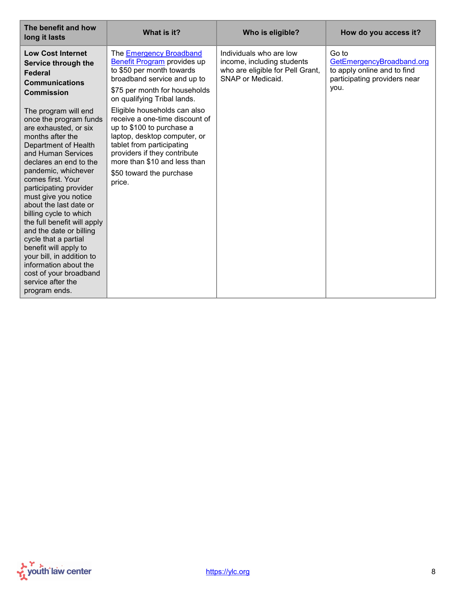<span id="page-7-0"></span>

| The benefit and how<br>long it lasts                                                                                                                                                                                                                                                                                                                                                                                                                                                                                                                   | What is it?                                                                                                                                                                                                                                                    | Who is eligible?                                                                                               | How do you access it?                                                                                     |
|--------------------------------------------------------------------------------------------------------------------------------------------------------------------------------------------------------------------------------------------------------------------------------------------------------------------------------------------------------------------------------------------------------------------------------------------------------------------------------------------------------------------------------------------------------|----------------------------------------------------------------------------------------------------------------------------------------------------------------------------------------------------------------------------------------------------------------|----------------------------------------------------------------------------------------------------------------|-----------------------------------------------------------------------------------------------------------|
| <b>Low Cost Internet</b><br>Service through the<br><b>Federal</b><br><b>Communications</b><br><b>Commission</b>                                                                                                                                                                                                                                                                                                                                                                                                                                        | The <b>Emergency Broadband</b><br>Benefit Program provides up<br>to \$50 per month towards<br>broadband service and up to<br>\$75 per month for households<br>on qualifying Tribal lands.                                                                      | Individuals who are low<br>income, including students<br>who are eligible for Pell Grant,<br>SNAP or Medicaid. | Go to<br>GetEmergencyBroadband.org<br>to apply online and to find<br>participating providers near<br>you. |
| The program will end<br>once the program funds<br>are exhausted, or six<br>months after the<br>Department of Health<br>and Human Services<br>declares an end to the<br>pandemic, whichever<br>comes first. Your<br>participating provider<br>must give you notice<br>about the last date or<br>billing cycle to which<br>the full benefit will apply<br>and the date or billing<br>cycle that a partial<br>benefit will apply to<br>your bill, in addition to<br>information about the<br>cost of your broadband<br>service after the<br>program ends. | Eligible households can also<br>receive a one-time discount of<br>up to \$100 to purchase a<br>laptop, desktop computer, or<br>tablet from participating<br>providers if they contribute<br>more than \$10 and less than<br>\$50 toward the purchase<br>price. |                                                                                                                |                                                                                                           |

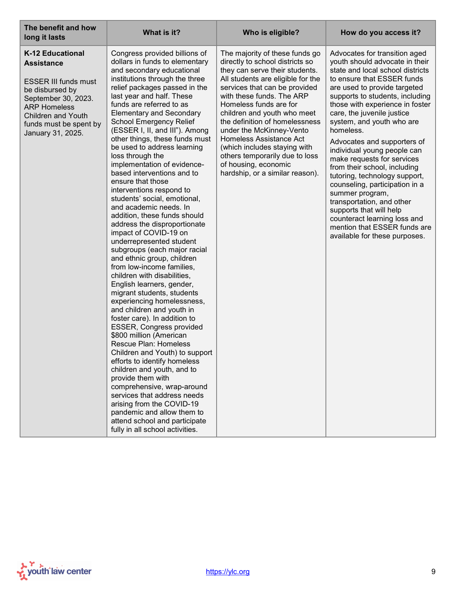<span id="page-8-0"></span>

| The benefit and how<br>long it lasts                                                                                                                                                                                     | What is it?                                                                                                                                                                                                                                                                                                                                                                                                                                                                                                                                                                                                                                                                                                                                                                                                                                                                                                                                                                                                                                                                                                                                                                                                                                                                                                                                                                                        | Who is eligible?                                                                                                                                                                                                                                                                                                                                                                                                                                                                      | How do you access it?                                                                                                                                                                                                                                                                                                                                                                                                                                                                                                                                                                                                                                                                      |
|--------------------------------------------------------------------------------------------------------------------------------------------------------------------------------------------------------------------------|----------------------------------------------------------------------------------------------------------------------------------------------------------------------------------------------------------------------------------------------------------------------------------------------------------------------------------------------------------------------------------------------------------------------------------------------------------------------------------------------------------------------------------------------------------------------------------------------------------------------------------------------------------------------------------------------------------------------------------------------------------------------------------------------------------------------------------------------------------------------------------------------------------------------------------------------------------------------------------------------------------------------------------------------------------------------------------------------------------------------------------------------------------------------------------------------------------------------------------------------------------------------------------------------------------------------------------------------------------------------------------------------------|---------------------------------------------------------------------------------------------------------------------------------------------------------------------------------------------------------------------------------------------------------------------------------------------------------------------------------------------------------------------------------------------------------------------------------------------------------------------------------------|--------------------------------------------------------------------------------------------------------------------------------------------------------------------------------------------------------------------------------------------------------------------------------------------------------------------------------------------------------------------------------------------------------------------------------------------------------------------------------------------------------------------------------------------------------------------------------------------------------------------------------------------------------------------------------------------|
| <b>K-12 Educational</b><br><b>Assistance</b><br><b>ESSER III funds must</b><br>be disbursed by<br>September 30, 2023.<br><b>ARP Homeless</b><br><b>Children and Youth</b><br>funds must be spent by<br>January 31, 2025. | Congress provided billions of<br>dollars in funds to elementary<br>and secondary educational<br>institutions through the three<br>relief packages passed in the<br>last year and half. These<br>funds are referred to as<br><b>Elementary and Secondary</b><br>School Emergency Relief<br>(ESSER I, II, and III"). Among<br>other things, these funds must<br>be used to address learning<br>loss through the<br>implementation of evidence-<br>based interventions and to<br>ensure that those<br>interventions respond to<br>students' social, emotional,<br>and academic needs. In<br>addition, these funds should<br>address the disproportionate<br>impact of COVID-19 on<br>underrepresented student<br>subgroups (each major racial<br>and ethnic group, children<br>from low-income families,<br>children with disabilities,<br>English learners, gender,<br>migrant students, students<br>experiencing homelessness,<br>and children and youth in<br>foster care). In addition to<br><b>ESSER, Congress provided</b><br>\$800 million (American<br>Rescue Plan: Homeless<br>Children and Youth) to support<br>efforts to identify homeless<br>children and youth, and to<br>provide them with<br>comprehensive, wrap-around<br>services that address needs<br>arising from the COVID-19<br>pandemic and allow them to<br>attend school and participate<br>fully in all school activities. | The majority of these funds go<br>directly to school districts so<br>they can serve their students.<br>All students are eligible for the<br>services that can be provided<br>with these funds. The ARP<br>Homeless funds are for<br>children and youth who meet<br>the definition of homelessness<br>under the McKinney-Vento<br>Homeless Assistance Act<br>(which includes staying with<br>others temporarily due to loss<br>of housing, economic<br>hardship, or a similar reason). | Advocates for transition aged<br>youth should advocate in their<br>state and local school districts<br>to ensure that ESSER funds<br>are used to provide targeted<br>supports to students, including<br>those with experience in foster<br>care, the juvenile justice<br>system, and youth who are<br>homeless.<br>Advocates and supporters of<br>individual young people can<br>make requests for services<br>from their school, including<br>tutoring, technology support,<br>counseling, participation in a<br>summer program,<br>transportation, and other<br>supports that will help<br>counteract learning loss and<br>mention that ESSER funds are<br>available for these purposes. |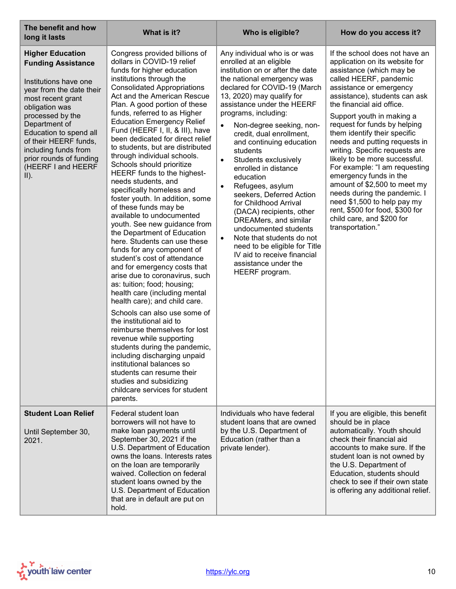<span id="page-9-0"></span>

| The benefit and how<br>long it lasts                                                                                                                                                                                                                                                                                      | What is it?                                                                                                                                                                                                                                                                                                                                                                                                                                                                                                                                                                                                                                                                                                                                                                                                                                                                                                                                                                                                                                                                                                                                                                                                                                                                                                      | Who is eligible?                                                                                                                                                                                                                                                                                                                                                                                                                                                                                                                                                                                                                                                                                                                                            | How do you access it?                                                                                                                                                                                                                                                                                                                                                                                                                                                                                                                                                                                                                                          |
|---------------------------------------------------------------------------------------------------------------------------------------------------------------------------------------------------------------------------------------------------------------------------------------------------------------------------|------------------------------------------------------------------------------------------------------------------------------------------------------------------------------------------------------------------------------------------------------------------------------------------------------------------------------------------------------------------------------------------------------------------------------------------------------------------------------------------------------------------------------------------------------------------------------------------------------------------------------------------------------------------------------------------------------------------------------------------------------------------------------------------------------------------------------------------------------------------------------------------------------------------------------------------------------------------------------------------------------------------------------------------------------------------------------------------------------------------------------------------------------------------------------------------------------------------------------------------------------------------------------------------------------------------|-------------------------------------------------------------------------------------------------------------------------------------------------------------------------------------------------------------------------------------------------------------------------------------------------------------------------------------------------------------------------------------------------------------------------------------------------------------------------------------------------------------------------------------------------------------------------------------------------------------------------------------------------------------------------------------------------------------------------------------------------------------|----------------------------------------------------------------------------------------------------------------------------------------------------------------------------------------------------------------------------------------------------------------------------------------------------------------------------------------------------------------------------------------------------------------------------------------------------------------------------------------------------------------------------------------------------------------------------------------------------------------------------------------------------------------|
| <b>Higher Education</b><br><b>Funding Assistance</b><br>Institutions have one<br>year from the date their<br>most recent grant<br>obligation was<br>processed by the<br>Department of<br>Education to spend all<br>of their HEERF funds,<br>including funds from<br>prior rounds of funding<br>(HEERF I and HEERF<br>II). | Congress provided billions of<br>dollars in COVID-19 relief<br>funds for higher education<br>institutions through the<br><b>Consolidated Appropriations</b><br>Act and the American Rescue<br>Plan. A good portion of these<br>funds, referred to as Higher<br><b>Education Emergency Relief</b><br>Fund (HEERF I, II, & III), have<br>been dedicated for direct relief<br>to students, but are distributed<br>through individual schools.<br>Schools should prioritize<br>HEERF funds to the highest-<br>needs students, and<br>specifically homeless and<br>foster youth. In addition, some<br>of these funds may be<br>available to undocumented<br>youth. See new guidance from<br>the Department of Education<br>here. Students can use these<br>funds for any component of<br>student's cost of attendance<br>and for emergency costs that<br>arise due to coronavirus, such<br>as: tuition; food; housing;<br>health care (including mental<br>health care); and child care.<br>Schools can also use some of<br>the institutional aid to<br>reimburse themselves for lost<br>revenue while supporting<br>students during the pandemic,<br>including discharging unpaid<br>institutional balances so<br>students can resume their<br>studies and subsidizing<br>childcare services for student<br>parents. | Any individual who is or was<br>enrolled at an eligible<br>institution on or after the date<br>the national emergency was<br>declared for COVID-19 (March<br>13, 2020) may qualify for<br>assistance under the HEERF<br>programs, including:<br>Non-degree seeking, non-<br>$\bullet$<br>credit, dual enrollment,<br>and continuing education<br>students<br>Students exclusively<br>$\bullet$<br>enrolled in distance<br>education<br>Refugees, asylum<br>$\bullet$<br>seekers, Deferred Action<br>for Childhood Arrival<br>(DACA) recipients, other<br>DREAMers, and similar<br>undocumented students<br>Note that students do not<br>$\bullet$<br>need to be eligible for Title<br>IV aid to receive financial<br>assistance under the<br>HEERF program. | If the school does not have an<br>application on its website for<br>assistance (which may be<br>called HEERF, pandemic<br>assistance or emergency<br>assistance), students can ask<br>the financial aid office.<br>Support youth in making a<br>request for funds by helping<br>them identify their specific<br>needs and putting requests in<br>writing. Specific requests are<br>likely to be more successful.<br>For example: "I am requesting<br>emergency funds in the<br>amount of \$2,500 to meet my<br>needs during the pandemic. I<br>need \$1,500 to help pay my<br>rent, \$500 for food, \$300 for<br>child care, and \$200 for<br>transportation." |
| <b>Student Loan Relief</b><br>Until September 30,<br>2021.                                                                                                                                                                                                                                                                | Federal student loan<br>borrowers will not have to<br>make loan payments until<br>September 30, 2021 if the<br>U.S. Department of Education<br>owns the loans. Interests rates<br>on the loan are temporarily<br>waived. Collection on federal<br>student loans owned by the<br>U.S. Department of Education<br>that are in default are put on<br>hold.                                                                                                                                                                                                                                                                                                                                                                                                                                                                                                                                                                                                                                                                                                                                                                                                                                                                                                                                                          | Individuals who have federal<br>student loans that are owned<br>by the U.S. Department of<br>Education (rather than a<br>private lender).                                                                                                                                                                                                                                                                                                                                                                                                                                                                                                                                                                                                                   | If you are eligible, this benefit<br>should be in place<br>automatically. Youth should<br>check their financial aid<br>accounts to make sure. If the<br>student loan is not owned by<br>the U.S. Department of<br>Education, students should<br>check to see if their own state<br>is offering any additional relief.                                                                                                                                                                                                                                                                                                                                          |

<span id="page-9-1"></span>